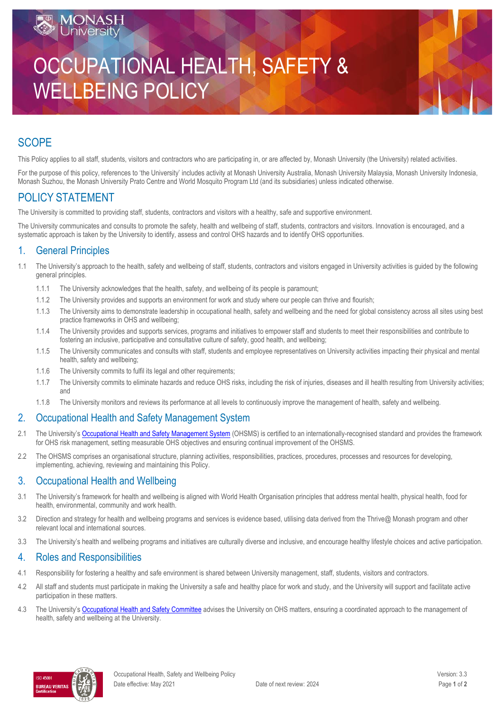# OCCUPATIONAL HEALTH, SAFETY & WELLBEING POLICY

## **SCOPE**

This Policy applies to all staff, students, visitors and contractors who are participating in, or are affected by, Monash University (the University) related activities.

For the purpose of this policy, references to 'the University' includes activity at Monash University Australia, Monash University Malaysia, Monash University Indonesia, Monash Suzhou, the Monash University Prato Centre and World Mosquito Program Ltd (and its subsidiaries) unless indicated otherwise.

## POLICY STATEMENT

Iniversi

The University is committed to providing staff, students, contractors and visitors with a healthy, safe and supportive environment.

The University communicates and consults to promote the safety, health and wellbeing of staff, students, contractors and visitors. Innovation is encouraged, and a systematic approach is taken by the University to identify, assess and control OHS hazards and to identify OHS opportunities.

#### 1. General Principles

- 1.1 The University's approach to the health, safety and wellbeing of staff, students, contractors and visitors engaged in University activities is guided by the following general principles.
	- 1.1.1 The University acknowledges that the health, safety, and wellbeing of its people is paramount;
	- 1.1.2 The University provides and supports an environment for work and study where our people can thrive and flourish;
	- 1.1.3 The University aims to demonstrate leadership in occupational health, safety and wellbeing and the need for global consistency across all sites using best practice frameworks in OHS and wellbeing;
	- 1.1.4 The University provides and supports services, programs and initiatives to empower staff and students to meet their responsibilities and contribute to fostering an inclusive, participative and consultative culture of safety, good health, and wellbeing;
	- 1.1.5 The University communicates and consults with staff, students and employee representatives on University activities impacting their physical and mental health, safety and wellbeing;
	- 1.1.6 The University commits to fulfil its legal and other requirements;
	- 1.1.7 The University commits to eliminate hazards and reduce OHS risks, including the risk of injuries, diseases and ill health resulting from University activities; and
	- 1.1.8 The University monitors and reviews its performance at all levels to continuously improve the management of health, safety and wellbeing.

## 2. Occupational Health and Safety Management System

- 2.1 The University's [Occupational Health and Safety Management System](https://www.monash.edu/ohs/OHS-structure-responsibilities/management-system) (OHSMS) is certified to an internationally-recognised standard and provides the framework for OHS risk management, setting measurable OHS objectives and ensuring continual improvement of the OHSMS.
- 2.2 The OHSMS comprises an organisational structure, planning activities, responsibilities, practices, procedures, processes and resources for developing, implementing, achieving, reviewing and maintaining this Policy.

#### 3. Occupational Health and Wellbeing

- 3.1 The University's framework for health and wellbeing is aligned with World Health Organisation principles that address mental health, physical health, food for health, environmental, community and work health.
- 3.2 Direction and strategy for health and wellbeing programs and services is evidence based, utilising data derived from the Thrive@ Monash program and other relevant local and international sources.
- 3.3 The University's health and wellbeing programs and initiatives are culturally diverse and inclusive, and encourage healthy lifestyle choices and active participation.

## 4. Roles and Responsibilities

- 4.1 Responsibility for fostering a healthy and safe environment is shared between University management, staff, students, visitors and contractors.
- 4.2 All staff and students must participate in making the University a safe and healthy place for work and study, and the University will support and facilitate active participation in these matters.
- 4.3 The University's [Occupational Health and Safety Committee](https://www.monash.edu/ohs/OHS-structure-responsibilities/monash-ohs-committee) advises the University on OHS matters, ensuring a coordinated approach to the management of health, safety and wellbeing at the University.